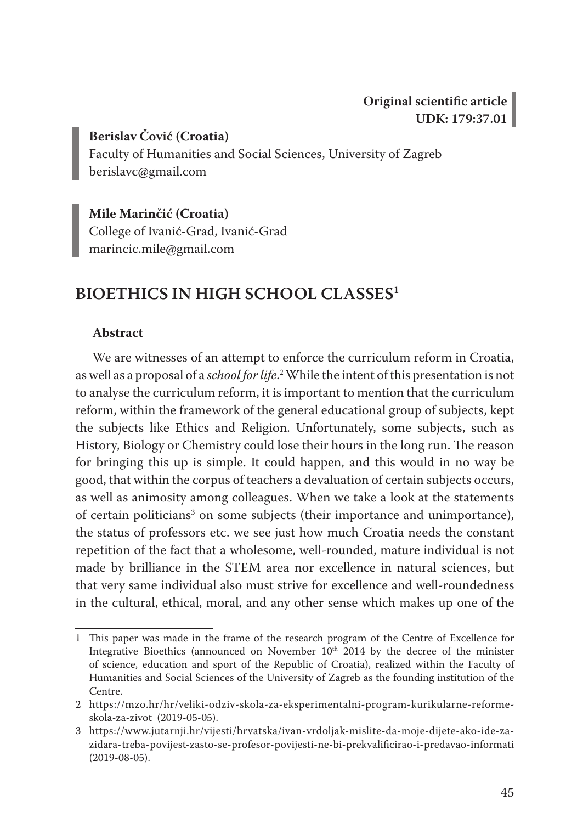# **Berislav Čović (Croatia)**

Faculty of Humanities and Social Sciences, University of Zagreb berislavc@gmail.com

**Mile Marinčić (Croatia)** College of Ivanić-Grad, Ivanić-Grad marincic.mile@gmail.com

# **BIOETHICS IN HIGH SCHOOL CLASSES1**

# **Abstract**

We are witnesses of an attempt to enforce the curriculum reform in Croatia, as well as a proposal of a *school for life*. 2 While the intent of this presentation is not to analyse the curriculum reform, it is important to mention that the curriculum reform, within the framework of the general educational group of subjects, kept the subjects like Ethics and Religion. Unfortunately, some subjects, such as History, Biology or Chemistry could lose their hours in the long run. The reason for bringing this up is simple. It could happen, and this would in no way be good, that within the corpus of teachers a devaluation of certain subjects occurs, as well as animosity among colleagues. When we take a look at the statements of certain politicians<sup>3</sup> on some subjects (their importance and unimportance), the status of professors etc. we see just how much Croatia needs the constant repetition of the fact that a wholesome, well-rounded, mature individual is not made by brilliance in the STEM area nor excellence in natural sciences, but that very same individual also must strive for excellence and well-roundedness in the cultural, ethical, moral, and any other sense which makes up one of the

<sup>1</sup> This paper was made in the frame of the research program of the Centre of Excellence for Integrative Bioethics (announced on November  $10<sup>th</sup>$  2014 by the decree of the minister of science, education and sport of the Republic of Croatia), realized within the Faculty of Humanities and Social Sciences of the University of Zagreb as the founding institution of the Centre.

<sup>2</sup> https://mzo.hr/hr/veliki-odziv-skola-za-eksperimentalni-program-kurikularne-reformeskola-za-zivot (2019-05-05).

<sup>3</sup> https://www.jutarnji.hr/vijesti/hrvatska/ivan-vrdoljak-mislite-da-moje-dijete-ako-ide-zazidara-treba-povijest-zasto-se-profesor-povijesti-ne-bi-prekvalificirao-i-predavao-informati (2019-08-05).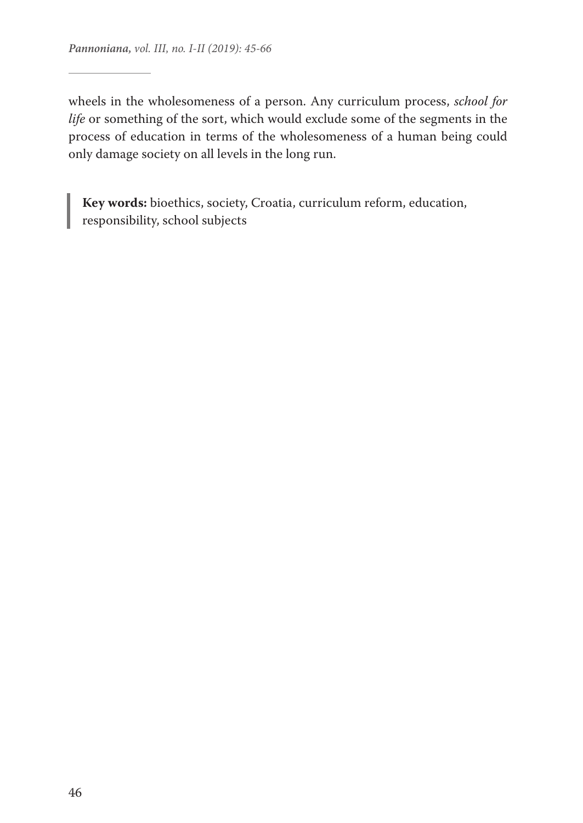wheels in the wholesomeness of a person. Any curriculum process, *school for life* or something of the sort, which would exclude some of the segments in the process of education in terms of the wholesomeness of a human being could only damage society on all levels in the long run.

**Key words:** bioethics, society, Croatia, curriculum reform, education, responsibility, school subjects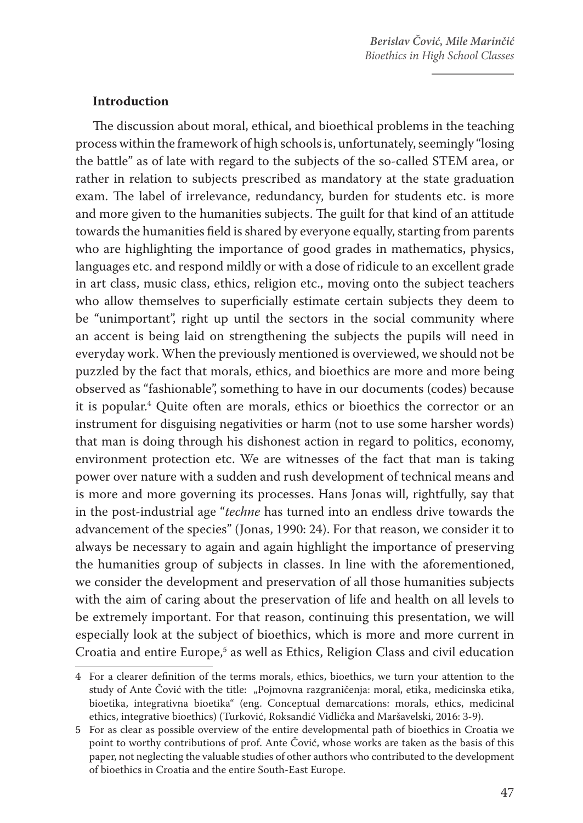#### **Introduction**

The discussion about moral, ethical, and bioethical problems in the teaching process within the framework of high schools is, unfortunately, seemingly "losing the battle" as of late with regard to the subjects of the so-called STEM area, or rather in relation to subjects prescribed as mandatory at the state graduation exam. The label of irrelevance, redundancy, burden for students etc. is more and more given to the humanities subjects. The guilt for that kind of an attitude towards the humanities field is shared by everyone equally, starting from parents who are highlighting the importance of good grades in mathematics, physics, languages etc. and respond mildly or with a dose of ridicule to an excellent grade in art class, music class, ethics, religion etc., moving onto the subject teachers who allow themselves to superficially estimate certain subjects they deem to be "unimportant", right up until the sectors in the social community where an accent is being laid on strengthening the subjects the pupils will need in everyday work. When the previously mentioned is overviewed, we should not be puzzled by the fact that morals, ethics, and bioethics are more and more being observed as "fashionable", something to have in our documents (codes) because it is popular.4 Quite often are morals, ethics or bioethics the corrector or an instrument for disguising negativities or harm (not to use some harsher words) that man is doing through his dishonest action in regard to politics, economy, environment protection etc. We are witnesses of the fact that man is taking power over nature with a sudden and rush development of technical means and is more and more governing its processes. Hans Jonas will, rightfully, say that in the post-industrial age "*techne* has turned into an endless drive towards the advancement of the species" (Jonas, 1990: 24). For that reason, we consider it to always be necessary to again and again highlight the importance of preserving the humanities group of subjects in classes. In line with the aforementioned, we consider the development and preservation of all those humanities subjects with the aim of caring about the preservation of life and health on all levels to be extremely important. For that reason, continuing this presentation, we will especially look at the subject of bioethics, which is more and more current in Croatia and entire Europe,<sup>5</sup> as well as Ethics, Religion Class and civil education

<sup>4</sup> For a clearer definition of the terms morals, ethics, bioethics, we turn your attention to the study of Ante Čović with the title: "Pojmovna razgraničenja: moral, etika, medicinska etika, bioetika, integrativna bioetika" (eng. Conceptual demarcations: morals, ethics, medicinal ethics, integrative bioethics) (Turković, Roksandić Vidlička and Maršavelski, 2016: 3-9).

<sup>5</sup> For as clear as possible overview of the entire developmental path of bioethics in Croatia we point to worthy contributions of prof. Ante Čović, whose works are taken as the basis of this paper, not neglecting the valuable studies of other authors who contributed to the development of bioethics in Croatia and the entire South-East Europe.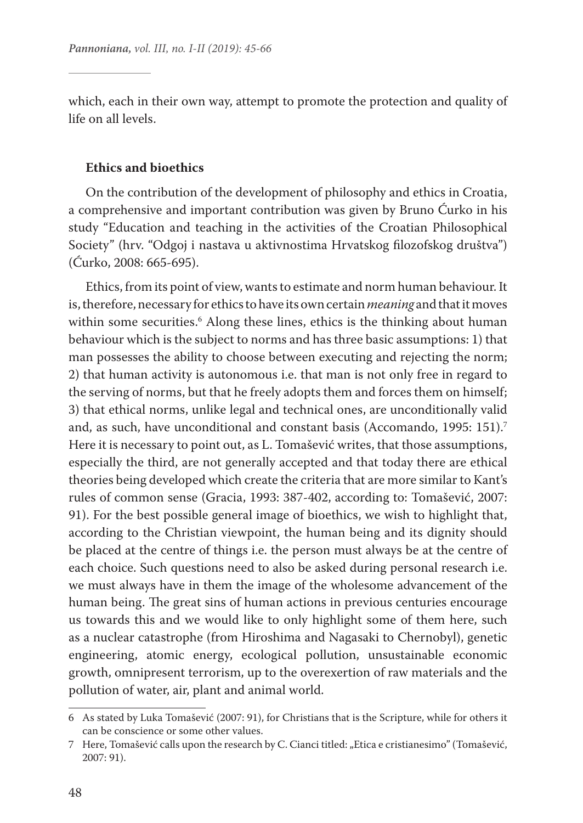which, each in their own way, attempt to promote the protection and quality of life on all levels.

#### **Ethics and bioethics**

On the contribution of the development of philosophy and ethics in Croatia, a comprehensive and important contribution was given by Bruno Ćurko in his study "Education and teaching in the activities of the Croatian Philosophical Society" (hrv. "Odgoj i nastava u aktivnostima Hrvatskog filozofskog društva") (Ćurko, 2008: 665-695).

Ethics, from its point of view, wants to estimate and norm human behaviour. It is, therefore, necessary for ethics to have its own certain *meaning* and that it moves within some securities.6 Along these lines, ethics is the thinking about human behaviour which is the subject to norms and has three basic assumptions: 1) that man possesses the ability to choose between executing and rejecting the norm; 2) that human activity is autonomous i.e. that man is not only free in regard to the serving of norms, but that he freely adopts them and forces them on himself; 3) that ethical norms, unlike legal and technical ones, are unconditionally valid and, as such, have unconditional and constant basis (Accomando, 1995: 151).<sup>7</sup> Here it is necessary to point out, as L. Tomašević writes, that those assumptions, especially the third, are not generally accepted and that today there are ethical theories being developed which create the criteria that are more similar to Kant's rules of common sense (Gracia, 1993: 387-402, according to: Tomašević, 2007: 91). For the best possible general image of bioethics, we wish to highlight that, according to the Christian viewpoint, the human being and its dignity should be placed at the centre of things i.e. the person must always be at the centre of each choice. Such questions need to also be asked during personal research i.e. we must always have in them the image of the wholesome advancement of the human being. The great sins of human actions in previous centuries encourage us towards this and we would like to only highlight some of them here, such as a nuclear catastrophe (from Hiroshima and Nagasaki to Chernobyl), genetic engineering, atomic energy, ecological pollution, unsustainable economic growth, omnipresent terrorism, up to the overexertion of raw materials and the pollution of water, air, plant and animal world.

<sup>6</sup> As stated by Luka Tomašević (2007: 91), for Christians that is the Scripture, while for others it can be conscience or some other values.

<sup>7</sup> Here, Tomašević calls upon the research by C. Cianci titled: "Etica e cristianesimo" (Tomašević, 2007: 91).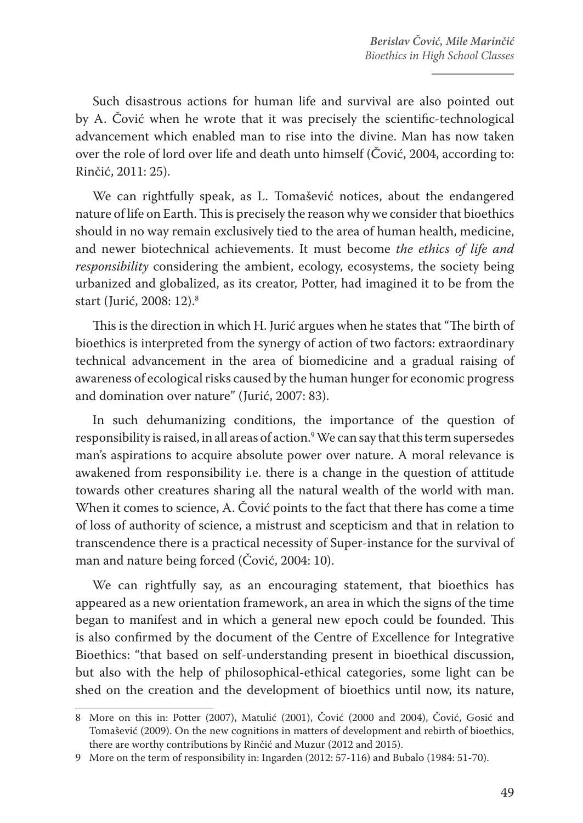Such disastrous actions for human life and survival are also pointed out by A. Čović when he wrote that it was precisely the scientific-technological advancement which enabled man to rise into the divine. Man has now taken over the role of lord over life and death unto himself (Čović, 2004, according to: Rinčić, 2011: 25).

We can rightfully speak, as L. Tomašević notices, about the endangered nature of life on Earth. This is precisely the reason why we consider that bioethics should in no way remain exclusively tied to the area of human health, medicine, and newer biotechnical achievements. It must become *the ethics of life and responsibility* considering the ambient, ecology, ecosystems, the society being urbanized and globalized, as its creator, Potter, had imagined it to be from the start (Jurić, 2008: 12).8

This is the direction in which H. Jurić argues when he states that "The birth of bioethics is interpreted from the synergy of action of two factors: extraordinary technical advancement in the area of biomedicine and a gradual raising of awareness of ecological risks caused by the human hunger for economic progress and domination over nature" (Jurić, 2007: 83).

In such dehumanizing conditions, the importance of the question of responsibility is raised, in all areas of action.9 We can say that this term supersedes man's aspirations to acquire absolute power over nature. A moral relevance is awakened from responsibility i.e. there is a change in the question of attitude towards other creatures sharing all the natural wealth of the world with man. When it comes to science, A. Čović points to the fact that there has come a time of loss of authority of science, a mistrust and scepticism and that in relation to transcendence there is a practical necessity of Super-instance for the survival of man and nature being forced (Čović, 2004: 10).

We can rightfully say, as an encouraging statement, that bioethics has appeared as a new orientation framework, an area in which the signs of the time began to manifest and in which a general new epoch could be founded. This is also confirmed by the document of the Centre of Excellence for Integrative Bioethics: "that based on self-understanding present in bioethical discussion, but also with the help of philosophical-ethical categories, some light can be shed on the creation and the development of bioethics until now, its nature,

<sup>8</sup> More on this in: Potter (2007), Matulić (2001), Čović (2000 and 2004), Čović, Gosić and Tomašević (2009). On the new cognitions in matters of development and rebirth of bioethics, there are worthy contributions by Rinčić and Muzur (2012 and 2015).

<sup>9</sup> More on the term of responsibility in: Ingarden (2012: 57-116) and Bubalo (1984: 51-70).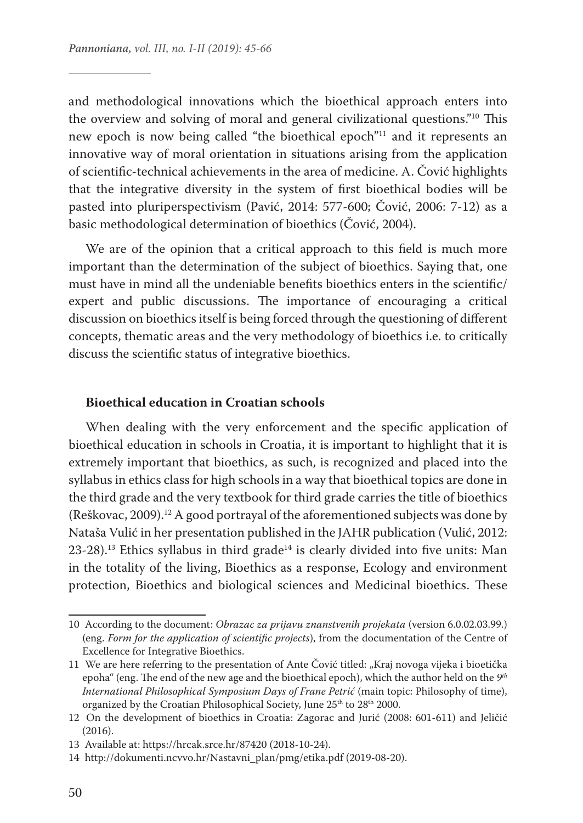and methodological innovations which the bioethical approach enters into the overview and solving of moral and general civilizational questions."10 This new epoch is now being called "the bioethical epoch"11 and it represents an innovative way of moral orientation in situations arising from the application of scientific-technical achievements in the area of medicine. A. Čović highlights that the integrative diversity in the system of first bioethical bodies will be pasted into pluriperspectivism (Pavić, 2014: 577-600; Čović, 2006: 7-12) as a basic methodological determination of bioethics (Čović, 2004).

We are of the opinion that a critical approach to this field is much more important than the determination of the subject of bioethics. Saying that, one must have in mind all the undeniable benefits bioethics enters in the scientific/ expert and public discussions. The importance of encouraging a critical discussion on bioethics itself is being forced through the questioning of different concepts, thematic areas and the very methodology of bioethics i.e. to critically discuss the scientific status of integrative bioethics.

#### **Bioethical education in Croatian schools**

When dealing with the very enforcement and the specific application of bioethical education in schools in Croatia, it is important to highlight that it is extremely important that bioethics, as such, is recognized and placed into the syllabus in ethics class for high schools in a way that bioethical topics are done in the third grade and the very textbook for third grade carries the title of bioethics (Reškovac, 2009).12 A good portrayal of the aforementioned subjects was done by Nataša Vulić in her presentation published in the JAHR publication (Vulić, 2012:  $23-28$ ).<sup>13</sup> Ethics syllabus in third grade<sup>14</sup> is clearly divided into five units: Man in the totality of the living, Bioethics as a response, Ecology and environment protection, Bioethics and biological sciences and Medicinal bioethics. These

<sup>10</sup> According to the document: *Obrazac za prijavu znanstvenih projekata* (version 6.0.02.03.99.) (eng. *Form for the application of scientific projects*), from the documentation of the Centre of Excellence for Integrative Bioethics.

<sup>11</sup> We are here referring to the presentation of Ante Čović titled: "Kraj novoga vijeka i bioetička epoha" (eng. The end of the new age and the bioethical epoch), which the author held on the *9th International Philosophical Symposium Days of Frane Petrić* (main topic: Philosophy of time), organized by the Croatian Philosophical Society, June 25<sup>th</sup> to 28<sup>th</sup> 2000.

<sup>12</sup> On the development of bioethics in Croatia: Zagorac and Jurić (2008: 601-611) and Jeličić (2016).

<sup>13</sup> Available at: https://hrcak.srce.hr/87420 (2018-10-24).

<sup>14</sup> http://dokumenti.ncvvo.hr/Nastavni\_plan/pmg/etika.pdf (2019-08-20).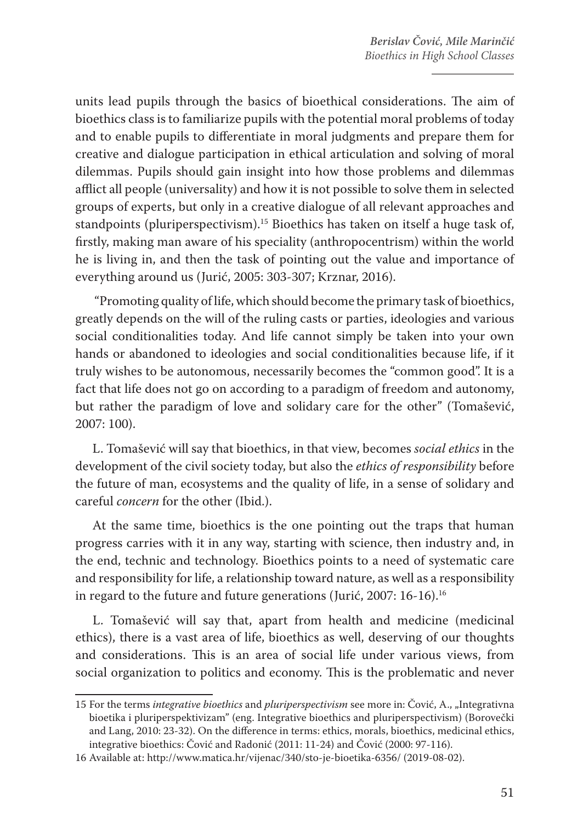units lead pupils through the basics of bioethical considerations. The aim of bioethics class is to familiarize pupils with the potential moral problems of today and to enable pupils to differentiate in moral judgments and prepare them for creative and dialogue participation in ethical articulation and solving of moral dilemmas. Pupils should gain insight into how those problems and dilemmas afflict all people (universality) and how it is not possible to solve them in selected groups of experts, but only in a creative dialogue of all relevant approaches and standpoints (pluriperspectivism).<sup>15</sup> Bioethics has taken on itself a huge task of, firstly, making man aware of his speciality (anthropocentrism) within the world he is living in, and then the task of pointing out the value and importance of everything around us (Jurić, 2005: 303-307; Krznar, 2016).

 "Promoting quality of life, which should become the primary task of bioethics, greatly depends on the will of the ruling casts or parties, ideologies and various social conditionalities today. And life cannot simply be taken into your own hands or abandoned to ideologies and social conditionalities because life, if it truly wishes to be autonomous, necessarily becomes the "common good". It is a fact that life does not go on according to a paradigm of freedom and autonomy, but rather the paradigm of love and solidary care for the other" (Tomašević, 2007: 100).

L. Tomašević will say that bioethics, in that view, becomes *social ethics* in the development of the civil society today, but also the *ethics of responsibility* before the future of man, ecosystems and the quality of life, in a sense of solidary and careful *concern* for the other (Ibid.).

At the same time, bioethics is the one pointing out the traps that human progress carries with it in any way, starting with science, then industry and, in the end, technic and technology. Bioethics points to a need of systematic care and responsibility for life, a relationship toward nature, as well as a responsibility in regard to the future and future generations (Jurić, 2007: 16-16).<sup>16</sup>

L. Tomašević will say that, apart from health and medicine (medicinal ethics), there is a vast area of life, bioethics as well, deserving of our thoughts and considerations. This is an area of social life under various views, from social organization to politics and economy. This is the problematic and never

<sup>15</sup> For the terms *integrative bioethics* and *pluriperspectivism* see more in: Čović, A., "Integrativna bioetika i pluriperspektivizam" (eng. Integrative bioethics and pluriperspectivism) (Borovečki and Lang, 2010: 23-32). On the difference in terms: ethics, morals, bioethics, medicinal ethics, integrative bioethics: Čović and Radonić (2011: 11-24) and Čović (2000: 97-116).

<sup>16</sup> Available at: http://www.matica.hr/vijenac/340/sto-je-bioetika-6356/ (2019-08-02).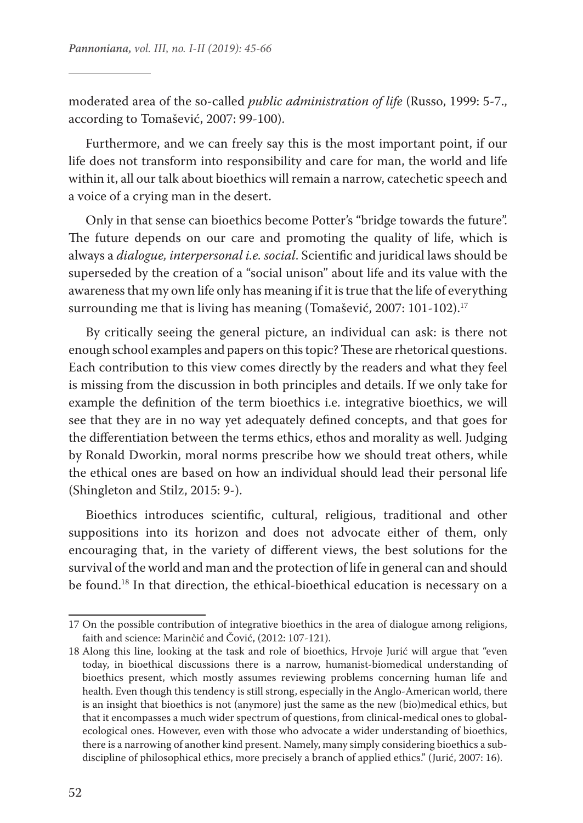moderated area of the so-called *public administration of life* (Russo, 1999: 5-7., according to Tomašević, 2007: 99-100).

Furthermore, and we can freely say this is the most important point, if our life does not transform into responsibility and care for man, the world and life within it, all our talk about bioethics will remain a narrow, catechetic speech and a voice of a crying man in the desert.

Only in that sense can bioethics become Potter's "bridge towards the future". The future depends on our care and promoting the quality of life, which is always a *dialogue, interpersonal i.e. social*. Scientific and juridical laws should be superseded by the creation of a "social unison" about life and its value with the awareness that my own life only has meaning if it is true that the life of everything surrounding me that is living has meaning (Tomašević, 2007: 101-102).<sup>17</sup>

By critically seeing the general picture, an individual can ask: is there not enough school examples and papers on this topic? These are rhetorical questions. Each contribution to this view comes directly by the readers and what they feel is missing from the discussion in both principles and details. If we only take for example the definition of the term bioethics i.e. integrative bioethics, we will see that they are in no way yet adequately defined concepts, and that goes for the differentiation between the terms ethics, ethos and morality as well. Judging by Ronald Dworkin, moral norms prescribe how we should treat others, while the ethical ones are based on how an individual should lead their personal life (Shingleton and Stilz, 2015: 9-).

Bioethics introduces scientific, cultural, religious, traditional and other suppositions into its horizon and does not advocate either of them, only encouraging that, in the variety of different views, the best solutions for the survival of the world and man and the protection of life in general can and should be found.18 In that direction, the ethical-bioethical education is necessary on a

<sup>17</sup> On the possible contribution of integrative bioethics in the area of dialogue among religions, faith and science: Marinčić and Čović, (2012: 107-121).

<sup>18</sup> Along this line, looking at the task and role of bioethics, Hrvoje Jurić will argue that "even today, in bioethical discussions there is a narrow, humanist-biomedical understanding of bioethics present, which mostly assumes reviewing problems concerning human life and health. Even though this tendency is still strong, especially in the Anglo-American world, there is an insight that bioethics is not (anymore) just the same as the new (bio)medical ethics, but that it encompasses a much wider spectrum of questions, from clinical-medical ones to globalecological ones. However, even with those who advocate a wider understanding of bioethics, there is a narrowing of another kind present. Namely, many simply considering bioethics a subdiscipline of philosophical ethics, more precisely a branch of applied ethics." (Jurić, 2007: 16).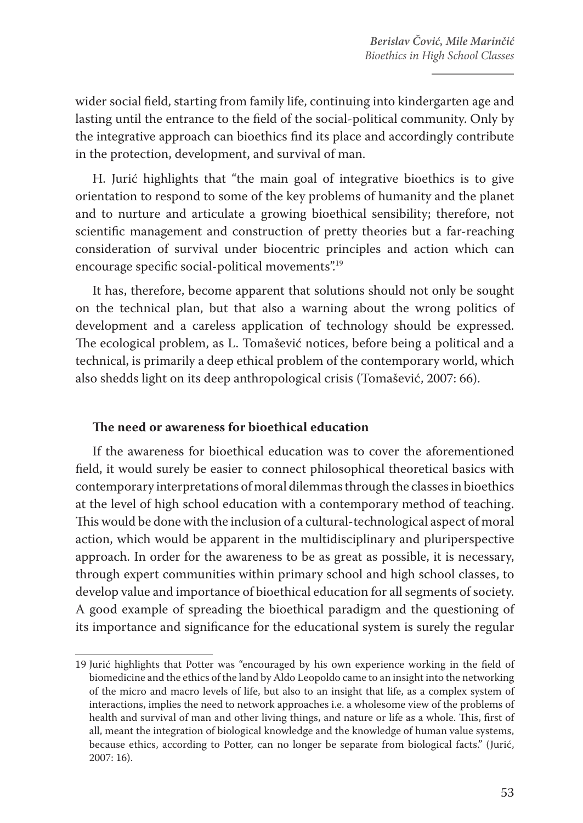wider social field, starting from family life, continuing into kindergarten age and lasting until the entrance to the field of the social-political community. Only by the integrative approach can bioethics find its place and accordingly contribute in the protection, development, and survival of man.

H. Jurić highlights that "the main goal of integrative bioethics is to give orientation to respond to some of the key problems of humanity and the planet and to nurture and articulate a growing bioethical sensibility; therefore, not scientific management and construction of pretty theories but a far-reaching consideration of survival under biocentric principles and action which can encourage specific social-political movements".19

It has, therefore, become apparent that solutions should not only be sought on the technical plan, but that also a warning about the wrong politics of development and a careless application of technology should be expressed. The ecological problem, as L. Tomašević notices, before being a political and a technical, is primarily a deep ethical problem of the contemporary world, which also shedds light on its deep anthropological crisis (Tomašević, 2007: 66).

## **The need or awareness for bioethical education**

If the awareness for bioethical education was to cover the aforementioned field, it would surely be easier to connect philosophical theoretical basics with contemporary interpretations of moral dilemmas through the classes in bioethics at the level of high school education with a contemporary method of teaching. This would be done with the inclusion of a cultural-technological aspect of moral action, which would be apparent in the multidisciplinary and pluriperspective approach. In order for the awareness to be as great as possible, it is necessary, through expert communities within primary school and high school classes, to develop value and importance of bioethical education for all segments of society. A good example of spreading the bioethical paradigm and the questioning of its importance and significance for the educational system is surely the regular

<sup>19</sup> Jurić highlights that Potter was "encouraged by his own experience working in the field of biomedicine and the ethics of the land by Aldo Leopoldo came to an insight into the networking of the micro and macro levels of life, but also to an insight that life, as a complex system of interactions, implies the need to network approaches i.e. a wholesome view of the problems of health and survival of man and other living things, and nature or life as a whole. This, first of all, meant the integration of biological knowledge and the knowledge of human value systems, because ethics, according to Potter, can no longer be separate from biological facts." (Jurić, 2007: 16).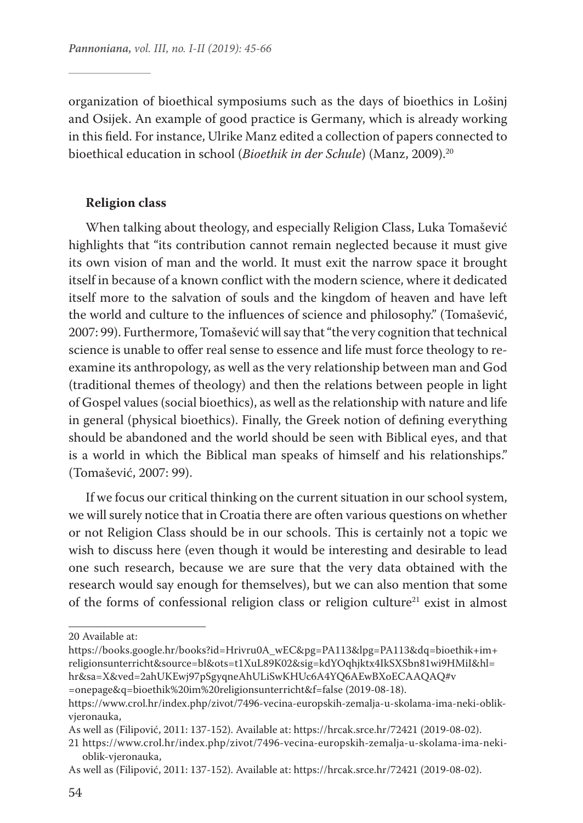organization of bioethical symposiums such as the days of bioethics in Lošinj and Osijek. An example of good practice is Germany, which is already working in this field. For instance, Ulrike Manz edited a collection of papers connected to bioethical education in school (*Bioethik in der Schule*) (Manz, 2009).20

# **Religion class**

When talking about theology, and especially Religion Class, Luka Tomašević highlights that "its contribution cannot remain neglected because it must give its own vision of man and the world. It must exit the narrow space it brought itself in because of a known conflict with the modern science, where it dedicated itself more to the salvation of souls and the kingdom of heaven and have left the world and culture to the influences of science and philosophy." (Tomašević, 2007: 99). Furthermore, Tomašević will say that "the very cognition that technical science is unable to offer real sense to essence and life must force theology to reexamine its anthropology, as well as the very relationship between man and God (traditional themes of theology) and then the relations between people in light of Gospel values (social bioethics), as well as the relationship with nature and life in general (physical bioethics). Finally, the Greek notion of defining everything should be abandoned and the world should be seen with Biblical eyes, and that is a world in which the Biblical man speaks of himself and his relationships." (Tomašević, 2007: 99).

If we focus our critical thinking on the current situation in our school system, we will surely notice that in Croatia there are often various questions on whether or not Religion Class should be in our schools. This is certainly not a topic we wish to discuss here (even though it would be interesting and desirable to lead one such research, because we are sure that the very data obtained with the research would say enough for themselves), but we can also mention that some of the forms of confessional religion class or religion culture<sup>21</sup> exist in almost

<sup>20</sup> Available at:

https://books.google.hr/books?id=Hrivru0A\_wEC&pg=PA113&lpg=PA113&dq=bioethik+im+ religionsunterricht&source=bl&ots=t1XuL89K02&sig=kdYOqhjktx4IkSXSbn81wi9HMiI&hl= hr&sa=X&ved=2ahUKEwj97pSgyqneAhULiSwKHUc6A4YQ6AEwBXoECAAQAQ#v =onepage&q=bioethik%20im%20religionsunterricht&f=false (2019-08-18).

https://www.crol.hr/index.php/zivot/7496-vecina-europskih-zemalja-u-skolama-ima-neki-oblikvjeronauka,

As well as (Filipović, 2011: 137-152). Available at: https://hrcak.srce.hr/72421 (2019-08-02).

<sup>21</sup> https://www.crol.hr/index.php/zivot/7496-vecina-europskih-zemalja-u-skolama-ima-nekioblik-vjeronauka,

As well as (Filipović, 2011: 137-152). Available at: https://hrcak.srce.hr/72421 (2019-08-02).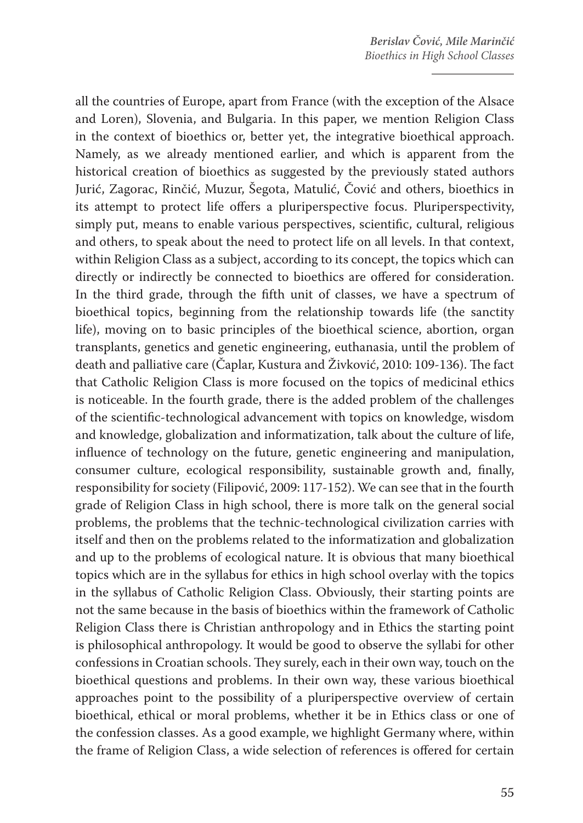all the countries of Europe, apart from France (with the exception of the Alsace and Loren), Slovenia, and Bulgaria. In this paper, we mention Religion Class in the context of bioethics or, better yet, the integrative bioethical approach. Namely, as we already mentioned earlier, and which is apparent from the historical creation of bioethics as suggested by the previously stated authors Jurić, Zagorac, Rinčić, Muzur, Šegota, Matulić, Čović and others, bioethics in its attempt to protect life offers a pluriperspective focus. Pluriperspectivity, simply put, means to enable various perspectives, scientific, cultural, religious and others, to speak about the need to protect life on all levels. In that context, within Religion Class as a subject, according to its concept, the topics which can directly or indirectly be connected to bioethics are offered for consideration. In the third grade, through the fifth unit of classes, we have a spectrum of bioethical topics, beginning from the relationship towards life (the sanctity life), moving on to basic principles of the bioethical science, abortion, organ transplants, genetics and genetic engineering, euthanasia, until the problem of death and palliative care (Čaplar, Kustura and Živković, 2010: 109-136). The fact that Catholic Religion Class is more focused on the topics of medicinal ethics is noticeable. In the fourth grade, there is the added problem of the challenges of the scientific-technological advancement with topics on knowledge, wisdom and knowledge, globalization and informatization, talk about the culture of life, influence of technology on the future, genetic engineering and manipulation, consumer culture, ecological responsibility, sustainable growth and, finally, responsibility for society (Filipović, 2009: 117-152). We can see that in the fourth grade of Religion Class in high school, there is more talk on the general social problems, the problems that the technic-technological civilization carries with itself and then on the problems related to the informatization and globalization and up to the problems of ecological nature. It is obvious that many bioethical topics which are in the syllabus for ethics in high school overlay with the topics in the syllabus of Catholic Religion Class. Obviously, their starting points are not the same because in the basis of bioethics within the framework of Catholic Religion Class there is Christian anthropology and in Ethics the starting point is philosophical anthropology. It would be good to observe the syllabi for other confessions in Croatian schools. They surely, each in their own way, touch on the bioethical questions and problems. In their own way, these various bioethical approaches point to the possibility of a pluriperspective overview of certain bioethical, ethical or moral problems, whether it be in Ethics class or one of the confession classes. As a good example, we highlight Germany where, within the frame of Religion Class, a wide selection of references is offered for certain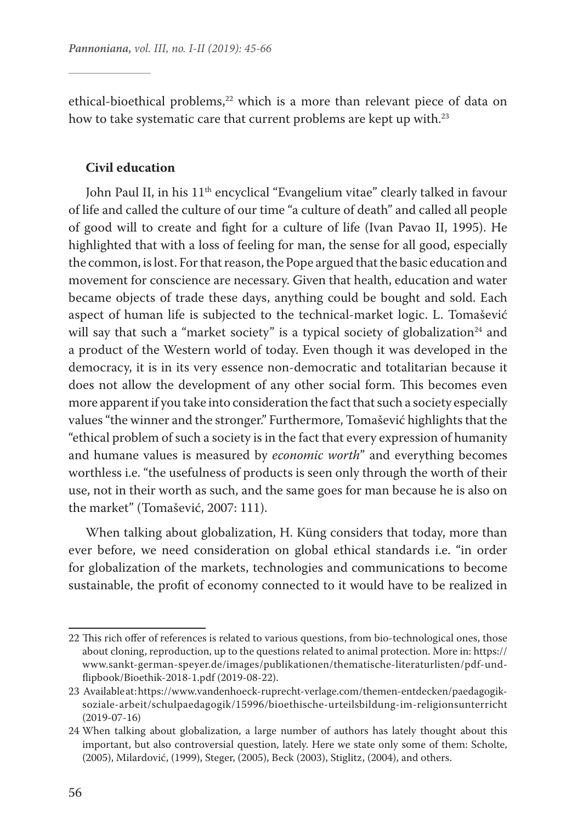ethical-bioethical problems,<sup>22</sup> which is a more than relevant piece of data on how to take systematic care that current problems are kept up with.<sup>23</sup>

# **Civil education**

John Paul II, in his 11<sup>th</sup> encyclical "Evangelium vitae" clearly talked in favour of life and called the culture of our time "a culture of death" and called all people of good will to create and fight for a culture of life (Ivan Pavao II, 1995). He highlighted that with a loss of feeling for man, the sense for all good, especially the common, is lost. For that reason, the Pope argued that the basic education and movement for conscience are necessary. Given that health, education and water became objects of trade these days, anything could be bought and sold. Each aspect of human life is subjected to the technical-market logic. L. Tomašević will say that such a "market society" is a typical society of globalization<sup>24</sup> and a product of the Western world of today. Even though it was developed in the democracy, it is in its very essence non-democratic and totalitarian because it does not allow the development of any other social form. This becomes even more apparent if you take into consideration the fact that such a society especially values "the winner and the stronger." Furthermore, Tomašević highlights that the "ethical problem of such a society is in the fact that every expression of humanity and humane values is measured by *economic worth*" and everything becomes worthless i.e. "the usefulness of products is seen only through the worth of their use, not in their worth as such, and the same goes for man because he is also on the market" (Tomašević, 2007: 111).

When talking about globalization, H. Küng considers that today, more than ever before, we need consideration on global ethical standards i.e. "in order for globalization of the markets, technologies and communications to become sustainable, the profit of economy connected to it would have to be realized in

<sup>22</sup> This rich offer of references is related to various questions, from bio-technological ones, those about cloning, reproduction, up to the questions related to animal protection. More in: https:// www.sankt-german-speyer.de/images/publikationen/thematische-literaturlisten/pdf-undflipbook/Bioethik-2018-1.pdf (2019-08-22).

<sup>23</sup> Available at: https://www.vandenhoeck-ruprecht-verlage.com/themen-entdecken/paedagogiksoziale-arbeit/schulpaedagogik/15996/bioethische-urteilsbildung-im-religionsunterricht (2019-07-16)

<sup>24</sup> When talking about globalization, a large number of authors has lately thought about this important, but also controversial question, lately. Here we state only some of them: Scholte, (2005), Milardović, (1999), Steger, (2005), Beck (2003), Stiglitz, (2004), and others.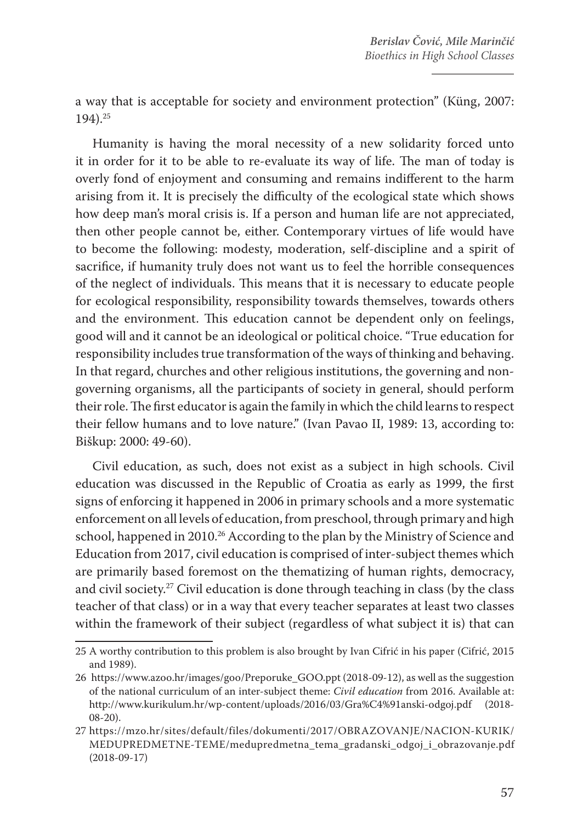a way that is acceptable for society and environment protection" (Küng, 2007: 194).25

Humanity is having the moral necessity of a new solidarity forced unto it in order for it to be able to re-evaluate its way of life. The man of today is overly fond of enjoyment and consuming and remains indifferent to the harm arising from it. It is precisely the difficulty of the ecological state which shows how deep man's moral crisis is. If a person and human life are not appreciated, then other people cannot be, either. Contemporary virtues of life would have to become the following: modesty, moderation, self-discipline and a spirit of sacrifice, if humanity truly does not want us to feel the horrible consequences of the neglect of individuals. This means that it is necessary to educate people for ecological responsibility, responsibility towards themselves, towards others and the environment. This education cannot be dependent only on feelings, good will and it cannot be an ideological or political choice. "True education for responsibility includes true transformation of the ways of thinking and behaving. In that regard, churches and other religious institutions, the governing and nongoverning organisms, all the participants of society in general, should perform their role. The first educator is again the family in which the child learns to respect their fellow humans and to love nature." (Ivan Pavao II, 1989: 13, according to: Biškup: 2000: 49-60).

Civil education, as such, does not exist as a subject in high schools. Civil education was discussed in the Republic of Croatia as early as 1999, the first signs of enforcing it happened in 2006 in primary schools and a more systematic enforcement on all levels of education, from preschool, through primary and high school, happened in 2010.<sup>26</sup> According to the plan by the Ministry of Science and Education from 2017, civil education is comprised of inter-subject themes which are primarily based foremost on the thematizing of human rights, democracy, and civil society.<sup>27</sup> Civil education is done through teaching in class (by the class teacher of that class) or in a way that every teacher separates at least two classes within the framework of their subject (regardless of what subject it is) that can

<sup>25</sup> A worthy contribution to this problem is also brought by Ivan Cifrić in his paper (Cifrić, 2015 and 1989).

<sup>26</sup> https://www.azoo.hr/images/goo/Preporuke\_GOO.ppt (2018-09-12), as well as the suggestion of the national curriculum of an inter-subject theme: *Civil education* from 2016. Available at: http://www.kurikulum.hr/wp-content/uploads/2016/03/Gra%C4%91anski-odgoj.pdf (2018- 08-20).

<sup>27</sup> https://mzo.hr/sites/default/files/dokumenti/2017/OBRAZOVANJE/NACION-KURIK/ MEDUPREDMETNE-TEME/medupredmetna\_tema\_gradanski\_odgoj\_i\_obrazovanje.pdf (2018-09-17)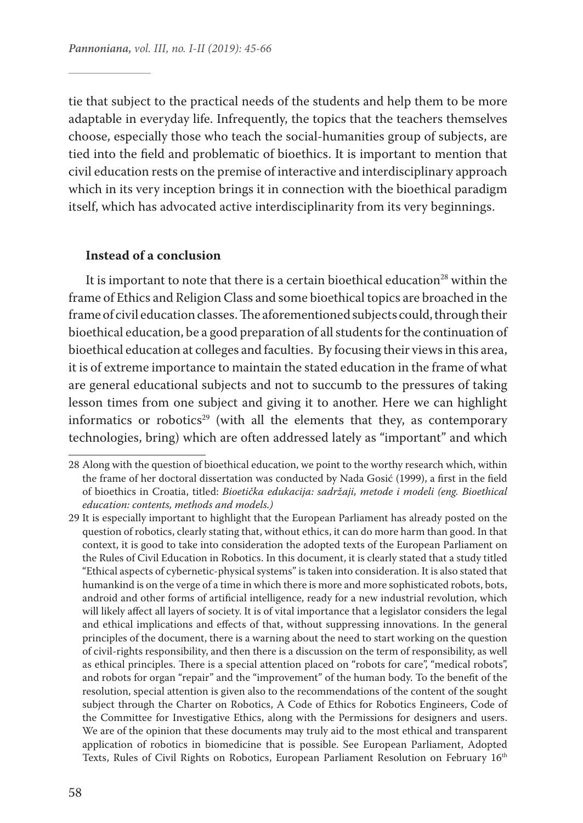tie that subject to the practical needs of the students and help them to be more adaptable in everyday life. Infrequently, the topics that the teachers themselves choose, especially those who teach the social-humanities group of subjects, are tied into the field and problematic of bioethics. It is important to mention that civil education rests on the premise of interactive and interdisciplinary approach which in its very inception brings it in connection with the bioethical paradigm itself, which has advocated active interdisciplinarity from its very beginnings.

#### **Instead of a conclusion**

It is important to note that there is a certain bioethical education<sup>28</sup> within the frame of Ethics and Religion Class and some bioethical topics are broached in the frame of civil education classes. The aforementioned subjects could, through their bioethical education, be a good preparation of all students for the continuation of bioethical education at colleges and faculties. By focusing their views in this area, it is of extreme importance to maintain the stated education in the frame of what are general educational subjects and not to succumb to the pressures of taking lesson times from one subject and giving it to another. Here we can highlight informatics or robotics<sup>29</sup> (with all the elements that they, as contemporary technologies, bring) which are often addressed lately as "important" and which

<sup>28</sup> Along with the question of bioethical education, we point to the worthy research which, within the frame of her doctoral dissertation was conducted by Nada Gosić (1999), a first in the field of bioethics in Croatia, titled: *Bioetička edukacija: sadržaji, metode i modeli (eng. Bioethical education: contents, methods and models.)*

<sup>29</sup> It is especially important to highlight that the European Parliament has already posted on the question of robotics, clearly stating that, without ethics, it can do more harm than good. In that context, it is good to take into consideration the adopted texts of the European Parliament on the Rules of Civil Education in Robotics. In this document, it is clearly stated that a study titled "Ethical aspects of cybernetic-physical systems" is taken into consideration. It is also stated that humankind is on the verge of a time in which there is more and more sophisticated robots, bots, android and other forms of artificial intelligence, ready for a new industrial revolution, which will likely affect all layers of society. It is of vital importance that a legislator considers the legal and ethical implications and effects of that, without suppressing innovations. In the general principles of the document, there is a warning about the need to start working on the question of civil-rights responsibility, and then there is a discussion on the term of responsibility, as well as ethical principles. There is a special attention placed on "robots for care", "medical robots", and robots for organ "repair" and the "improvement" of the human body. To the benefit of the resolution, special attention is given also to the recommendations of the content of the sought subject through the Charter on Robotics, A Code of Ethics for Robotics Engineers, Code of the Committee for Investigative Ethics, along with the Permissions for designers and users. We are of the opinion that these documents may truly aid to the most ethical and transparent application of robotics in biomedicine that is possible. See European Parliament, Adopted Texts, Rules of Civil Rights on Robotics, European Parliament Resolution on February 16<sup>th</sup>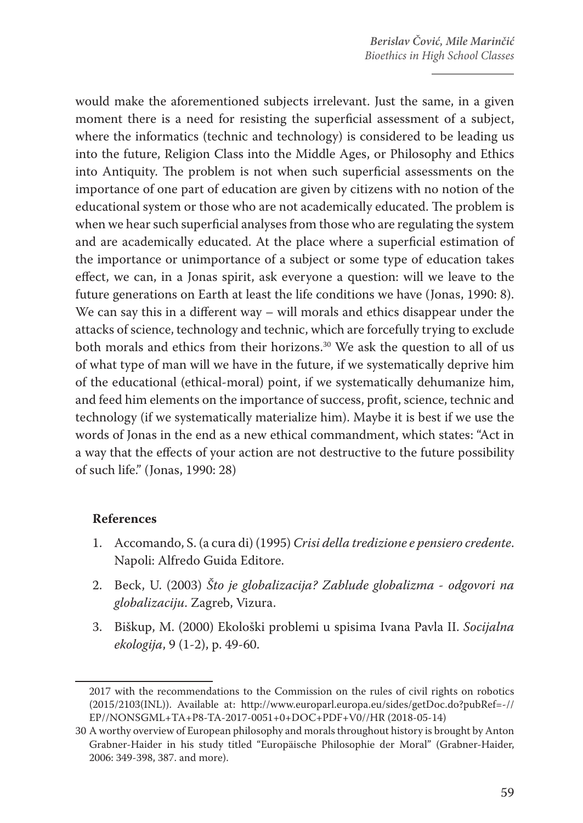would make the aforementioned subjects irrelevant. Just the same, in a given moment there is a need for resisting the superficial assessment of a subject, where the informatics (technic and technology) is considered to be leading us into the future, Religion Class into the Middle Ages, or Philosophy and Ethics into Antiquity. The problem is not when such superficial assessments on the importance of one part of education are given by citizens with no notion of the educational system or those who are not academically educated. The problem is when we hear such superficial analyses from those who are regulating the system and are academically educated. At the place where a superficial estimation of the importance or unimportance of a subject or some type of education takes effect, we can, in a Jonas spirit, ask everyone a question: will we leave to the future generations on Earth at least the life conditions we have (Jonas, 1990: 8). We can say this in a different way – will morals and ethics disappear under the attacks of science, technology and technic, which are forcefully trying to exclude both morals and ethics from their horizons.<sup>30</sup> We ask the question to all of us of what type of man will we have in the future, if we systematically deprive him of the educational (ethical-moral) point, if we systematically dehumanize him, and feed him elements on the importance of success, profit, science, technic and technology (if we systematically materialize him). Maybe it is best if we use the words of Jonas in the end as a new ethical commandment, which states: "Act in a way that the effects of your action are not destructive to the future possibility of such life." (Jonas, 1990: 28)

## **References**

- 1. Accomando, S. (a cura di) (1995) *Crisi della tredizione e pensiero credente*. Napoli: Alfredo Guida Editore.
- 2. Beck, U. (2003) *Što je globalizacija? Zablude globalizma odgovori na globalizaciju*. Zagreb, Vizura.
- 3. Biškup, M. (2000) Ekološki problemi u spisima Ivana Pavla II. *Socijalna ekologija*, 9 (1-2), p. 49-60.

<sup>2017</sup> with the recommendations to the Commission on the rules of civil rights on robotics (2015/2103(INL)). Available at: http://www.europarl.europa.eu/sides/getDoc.do?pubRef=-// EP//NONSGML+TA+P8-TA-2017-0051+0+DOC+PDF+V0//HR (2018-05-14)

<sup>30</sup> A worthy overview of European philosophy and morals throughout history is brought by Anton Grabner-Haider in his study titled "Europäische Philosophie der Moral" (Grabner-Haider, 2006: 349-398, 387. and more).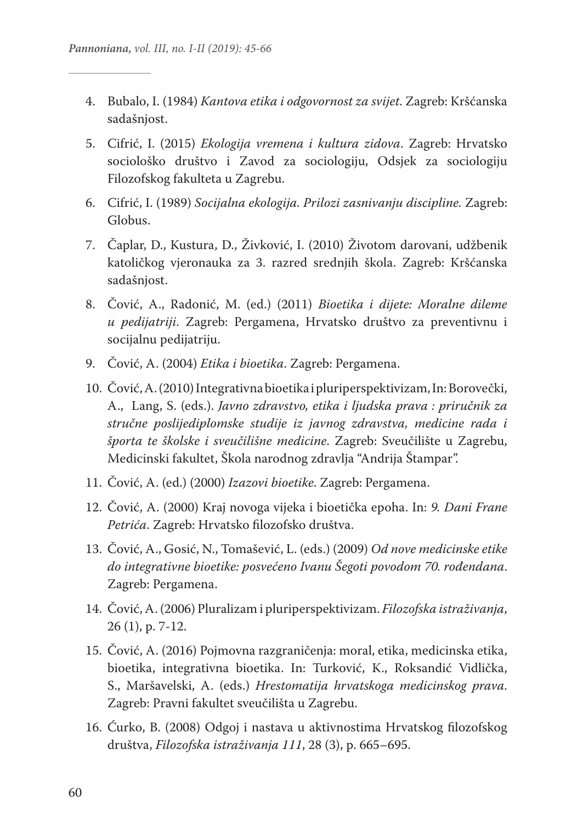- 4. Bubalo, I. (1984) *Kantova etika i odgovornost za svijet*. Zagreb: Kršćanska sadašnjost.
- 5. Cifrić, I. (2015) *Ekologija vremena i kultura zidova*. Zagreb: Hrvatsko sociološko društvo i Zavod za sociologiju, Odsjek za sociologiju Filozofskog fakulteta u Zagrebu.
- 6. Cifrić, I. (1989) *Socijalna ekologija. Prilozi zasnivanju discipline.* Zagreb: Globus.
- 7. Čaplar, D., Kustura, D., Živković, I. (2010) Životom darovani, udžbenik katoličkog vjeronauka za 3. razred srednjih škola. Zagreb: Kršćanska sadašnjost.
- 8. Čović, A., Radonić, M. (ed.) (2011) *Bioetika i dijete: Moralne dileme u pedijatriji*. Zagreb: Pergamena, Hrvatsko društvo za preventivnu i socijalnu pedijatriju.
- 9. Čović, A. (2004) *Etika i bioetika*. Zagreb: Pergamena.
- 10. Čović, A. (2010) Integrativna bioetika i pluriperspektivizam, In: Borovečki, A., Lang, S. (eds.). *Javno zdravstvo, etika i ljudska prava : priručnik za stručne poslijediplomske studije iz javnog zdravstva, medicine rada i športa te školske i sveučilišne medicine*. Zagreb: Sveučilište u Zagrebu, Medicinski fakultet, Škola narodnog zdravlja "Andrija Štampar".
- 11. Čović, A. (ed.) (2000) *Izazovi bioetike*. Zagreb: Pergamena.
- 12. Čović, A. (2000) Kraj novoga vijeka i bioetička epoha. In: *9. Dani Frane Petrića*. Zagreb: Hrvatsko filozofsko društva.
- 13. Čović, A., Gosić, N., Tomašević, L. (eds.) (2009) *Od nove medicinske etike do integrativne bioetike: posvećeno Ivanu Šegoti povodom 70. rođendana*. Zagreb: Pergamena.
- 14. Čović, A. (2006) Pluralizam i pluriperspektivizam. *Filozofska istraživanja*, 26 (1), p. 7-12.
- 15. Čović, A. (2016) Pojmovna razgraničenja: moral, etika, medicinska etika, bioetika, integrativna bioetika. In: Turković, K., Roksandić Vidlička, S., Maršavelski, A. (eds.) *Hrestomatija hrvatskoga medicinskog prava*. Zagreb: Pravni fakultet sveučilišta u Zagrebu.
- 16. Ćurko, B. (2008) Odgoj i nastava u aktivnostima Hrvatskog filozofskog društva, *Filozofska istraživanja 111*, 28 (3), p. 665–695.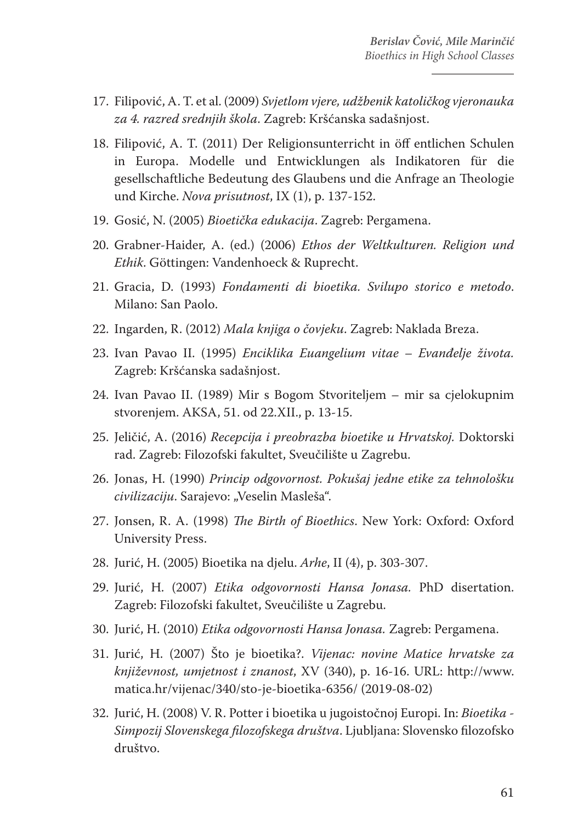- 17. Filipović, A. T. et al. (2009) *Svjetlom vjere, udžbenik katoličkog vjeronauka za 4. razred srednjih škola*. Zagreb: Kršćanska sadašnjost.
- 18. Filipović, A. T. (2011) Der Religionsunterricht in öff entlichen Schulen in Europa. Modelle und Entwicklungen als Indikatoren für die gesellschaftliche Bedeutung des Glaubens und die Anfrage an Theologie und Kirche. *Nova prisutnost*, IX (1), p. 137-152.
- 19. Gosić, N. (2005) *Bioetička edukacija*. Zagreb: Pergamena.
- 20. Grabner-Haider, A. (ed.) (2006) *Ethos der Weltkulturen. Religion und Ethik*. Göttingen: Vandenhoeck & Ruprecht.
- 21. Gracia, D. (1993) *Fondamenti di bioetika. Svilupo storico e metodo*. Milano: San Paolo.
- 22. Ingarden, R. (2012) *Mala knjiga o čovjeku*. Zagreb: Naklada Breza.
- 23. Ivan Pavao II. (1995) *Enciklika Euangelium vitae Evanđelje života.*  Zagreb: Kršćanska sadašnjost.
- 24. Ivan Pavao II. (1989) Mir s Bogom Stvoriteljem mir sa cjelokupnim stvorenjem. AKSA, 51. od 22.XII., p. 13-15.
- 25. Jeličić, A. (2016) *Recepcija i preobrazba bioetike u Hrvatskoj.* Doktorski rad. Zagreb: Filozofski fakultet, Sveučilište u Zagrebu.
- 26. Jonas, H. (1990) *Princip odgovornost. Pokušaj jedne etike za tehnološku civilizaciju*. Sarajevo: "Veselin Masleša".
- 27. Jonsen, R. A. (1998) *The Birth of Bioethics*. New York: Oxford: Oxford University Press.
- 28. Jurić, H. (2005) Bioetika na djelu. *Arhe*, II (4), p. 303-307.
- 29. Jurić, H. (2007) *Etika odgovornosti Hansa Jonasa.* PhD disertation. Zagreb: Filozofski fakultet, Sveučilište u Zagrebu.
- 30. Jurić, H. (2010) *Etika odgovornosti Hansa Jonasa.* Zagreb: Pergamena.
- 31. Jurić, H. (2007) Što je bioetika?. *Vijenac: novine Matice hrvatske za književnost, umjetnost i znanost*, XV (340), p. 16-16. URL: http://www. matica.hr/vijenac/340/sto-je-bioetika-6356/ (2019-08-02)
- 32. Jurić, H. (2008) V. R. Potter i bioetika u jugoistočnoj Europi. In: *Bioetika Simpozij Slovenskega filozofskega društva*. Ljubljana: Slovensko filozofsko društvo.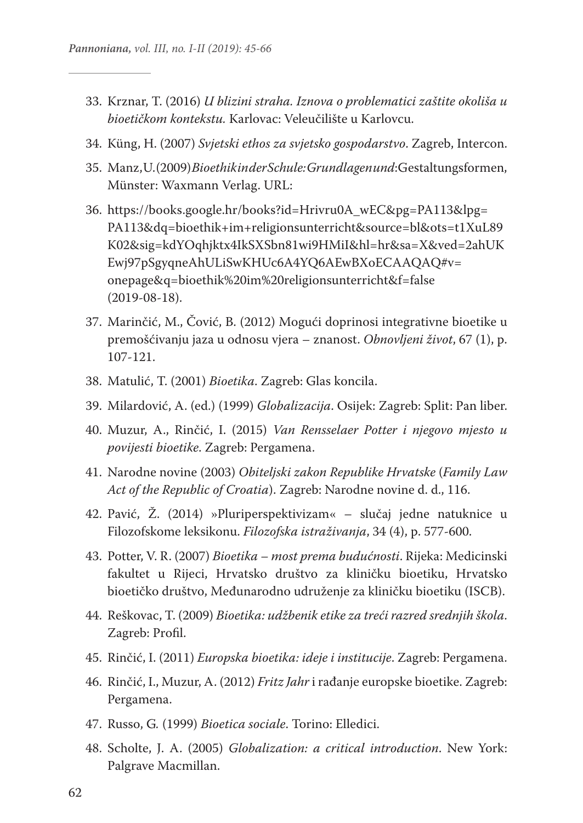- 33. Krznar, T. (2016) *U blizini straha. Iznova o problematici zaštite okoliša u bioetičkom kontekstu.* Karlovac: Veleučilište u Karlovcu.
- 34. Küng, H. (2007) *Svjetski ethos za svjetsko gospodarstvo*. Zagreb, Intercon.
- 35. Manz, U. (2009) *Bioethik in der Schule: Grundlagen und*:Gestaltungsformen, Münster: Waxmann Verlag. URL:
- 36. https://books.google.hr/books?id=Hrivru0A\_wEC&pg=PA113&lpg= PA113&dq=bioethik+im+religionsunterricht&source=bl&ots=t1XuL89 K02&sig=kdYOqhjktx4IkSXSbn81wi9HMiI&hl=hr&sa=X&ved=2ahUK Ewj97pSgyqneAhULiSwKHUc6A4YQ6AEwBXoECAAQAQ#v= onepage&q=bioethik%20im%20religionsunterricht&f=false (2019-08-18).
- 37. Marinčić, M., Čović, B. (2012) Mogući doprinosi integrativne bioetike u premošćivanju jaza u odnosu vjera – znanost. *Obnovljeni život*, 67 (1), p. 107-121.
- 38. Matulić, T. (2001) *Bioetika*. Zagreb: Glas koncila.
- 39. Milardović, A. (ed.) (1999) *Globalizacija*. Osijek: Zagreb: Split: Pan liber.
- 40. Muzur, A., Rinčić, I. (2015) *Van Rensselaer Potter i njegovo mjesto u povijesti bioetike*. Zagreb: Pergamena.
- 41. Narodne novine (2003) *Obiteljski zakon Republike Hrvatske* (*Family Law Act of the Republic of Croatia*). Zagreb: Narodne novine d. d., 116.
- 42. Pavić, Ž. (2014) »Pluriperspektivizam« slučaj jedne natuknice u Filozofskome leksikonu. *Filozofska istraživanja*, 34 (4), p. 577-600.
- 43. Potter, V. R. (2007) *Bioetika most prema budućnosti*. Rijeka: Medicinski fakultet u Rijeci, Hrvatsko društvo za kliničku bioetiku, Hrvatsko bioetičko društvo, Međunarodno udruženje za kliničku bioetiku (ISCB).
- 44. Reškovac, T. (2009) *Bioetika: udžbenik etike za treći razred srednjih škola*. Zagreb: Profil.
- 45. Rinčić, I. (2011) *Europska bioetika: ideje i institucije*. Zagreb: Pergamena.
- 46. Rinčić, I., Muzur, A. (2012) *Fritz Jahr* i rađanje europske bioetike. Zagreb: Pergamena.
- 47. Russo, G*.* (1999) *Bioetica sociale*. Torino: Elledici.
- 48. Scholte, J. A. (2005) *Globalization: a critical introduction*. New York: Palgrave Macmillan.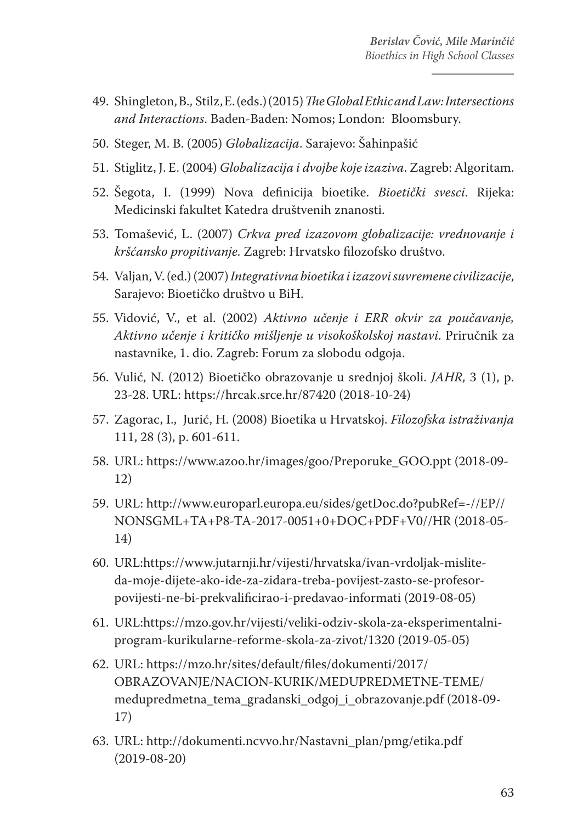- 49. Shingleton, B., Stilz, E. (eds.) (2015) *The Global Ethic and Law: Intersections and Interactions*. Baden-Baden: Nomos; London: Bloomsbury.
- 50. Steger, M. B. (2005) *Globalizacija*. Sarajevo: Šahinpašić
- 51. Stiglitz, J. E. (2004) *Globalizacija i dvojbe koje izaziva*. Zagreb: Algoritam.
- 52. Šegota, I. (1999) Nova definicija bioetike. *Bioetički svesci*. Rijeka: Medicinski fakultet Katedra društvenih znanosti.
- 53. Tomašević, L. (2007) *Crkva pred izazovom globalizacije: vrednovanje i kršćansko propitivanje*. Zagreb: Hrvatsko filozofsko društvo.
- 54. Valjan, V. (ed.) (2007) *Integrativna bioetika i izazovi suvremene civilizacije*, Sarajevo: Bioetičko društvo u BiH.
- 55. Vidović, V., et al. (2002) *Aktivno učenje i ERR okvir za poučavanje, Aktivno učenje i kritičko mišljenje u visokoškolskoj nastavi*. Priručnik za nastavnike, 1. dio. Zagreb: Forum za slobodu odgoja.
- 56. Vulić, N. (2012) Bioetičko obrazovanje u srednjoj školi. *JAHR*, 3 (1), p. 23-28. URL: https://hrcak.srce.hr/87420 (2018-10-24)
- 57. Zagorac, I., Jurić, H. (2008) Bioetika u Hrvatskoj. *Filozofska istraživanja* 111, 28 (3), p. 601-611.
- 58. URL: https://www.azoo.hr/images/goo/Preporuke\_GOO.ppt (2018-09- 12)
- 59. URL: http://www.europarl.europa.eu/sides/getDoc.do?pubRef=-//EP// NONSGML+TA+P8-TA-2017-0051+0+DOC+PDF+V0//HR (2018-05- 14)
- 60. URL:https://www.jutarnji.hr/vijesti/hrvatska/ivan-vrdoljak-misliteda-moje-dijete-ako-ide-za-zidara-treba-povijest-zasto-se-profesorpovijesti-ne-bi-prekvalificirao-i-predavao-informati (2019-08-05)
- 61. URL:https://mzo.gov.hr/vijesti/veliki-odziv-skola-za-eksperimentalniprogram-kurikularne-reforme-skola-za-zivot/1320 (2019-05-05)
- 62. URL: https://mzo.hr/sites/default/files/dokumenti/2017/ OBRAZOVANJE/NACION-KURIK/MEDUPREDMETNE-TEME/ medupredmetna\_tema\_gradanski\_odgoj\_i\_obrazovanje.pdf (2018-09- 17)
- 63. URL: http://dokumenti.ncvvo.hr/Nastavni\_plan/pmg/etika.pdf (2019-08-20)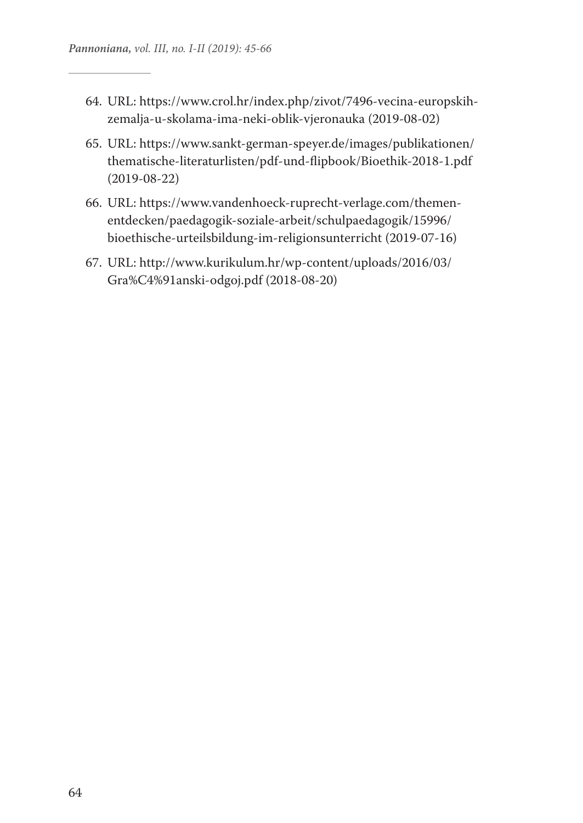- 64. URL: https://www.crol.hr/index.php/zivot/7496-vecina-europskihzemalja-u-skolama-ima-neki-oblik-vjeronauka (2019-08-02)
- 65. URL: https://www.sankt-german-speyer.de/images/publikationen/ thematische-literaturlisten/pdf-und-flipbook/Bioethik-2018-1.pdf (2019-08-22)
- 66. URL: https://www.vandenhoeck-ruprecht-verlage.com/themenentdecken/paedagogik-soziale-arbeit/schulpaedagogik/15996/ bioethische-urteilsbildung-im-religionsunterricht (2019-07-16)
- 67. URL: http://www.kurikulum.hr/wp-content/uploads/2016/03/ Gra%C4%91anski-odgoj.pdf (2018-08-20)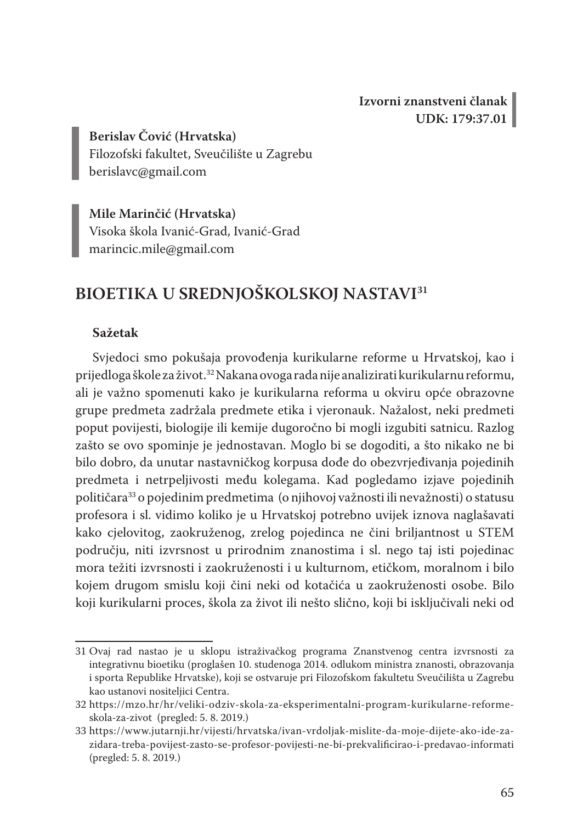**Izvorni znanstveni članak UDK: 179:37.01**

**Berislav Čović (Hrvatska)** Filozofski fakultet, Sveučilište u Zagrebu berislavc@gmail.com

**Mile Marinčić (Hrvatska)** Visoka škola Ivanić-Grad, Ivanić-Grad marincic.mile@gmail.com

# **BIOETIKA U SREDNJOŠKOLSKOJ NASTAVI31**

## **Sažetak**

Svjedoci smo pokušaja provođenja kurikularne reforme u Hrvatskoj, kao i prijedloga škole za život.32 Nakana ovoga rada nije analizirati kurikularnu reformu, ali je važno spomenuti kako je kurikularna reforma u okviru opće obrazovne grupe predmeta zadržala predmete etika i vjeronauk. Nažalost, neki predmeti poput povijesti, biologije ili kemije dugoročno bi mogli izgubiti satnicu. Razlog zašto se ovo spominje je jednostavan. Moglo bi se dogoditi, a što nikako ne bi bilo dobro, da unutar nastavničkog korpusa dođe do obezvrjeđivanja pojedinih predmeta i netrpeljivosti među kolegama. Kad pogledamo izjave pojedinih političara<sup>33</sup> o pojedinim predmetima (o njihovoj važnosti ili nevažnosti) o statusu profesora i sl. vidimo koliko je u Hrvatskoj potrebno uvijek iznova naglašavati kako cjelovitog, zaokruženog, zrelog pojedinca ne čini briljantnost u STEM području, niti izvrsnost u prirodnim znanostima i sl. nego taj isti pojedinac mora težiti izvrsnosti i zaokruženosti i u kulturnom, etičkom, moralnom i bilo kojem drugom smislu koji čini neki od kotačića u zaokruženosti osobe. Bilo koji kurikularni proces, škola za život ili nešto slično, koji bi isključivali neki od

<sup>31</sup> Ovaj rad nastao je u sklopu istraživačkog programa Znanstvenog centra izvrsnosti za integrativnu bioetiku (proglašen 10. studenoga 2014. odlukom ministra znanosti, obrazovanja i sporta Republike Hrvatske), koji se ostvaruje pri Filozofskom fakultetu Sveučilišta u Zagrebu kao ustanovi nositeljici Centra.

<sup>32</sup> https://mzo.hr/hr/veliki-odziv-skola-za-eksperimentalni-program-kurikularne-reformeskola-za-zivot (pregled: 5. 8. 2019.)

<sup>33</sup> https://www.jutarnji.hr/vijesti/hrvatska/ivan-vrdoljak-mislite-da-moje-dijete-ako-ide-zazidara-treba-povijest-zasto-se-profesor-povijesti-ne-bi-prekvalificirao-i-predavao-informati (pregled: 5. 8. 2019.)